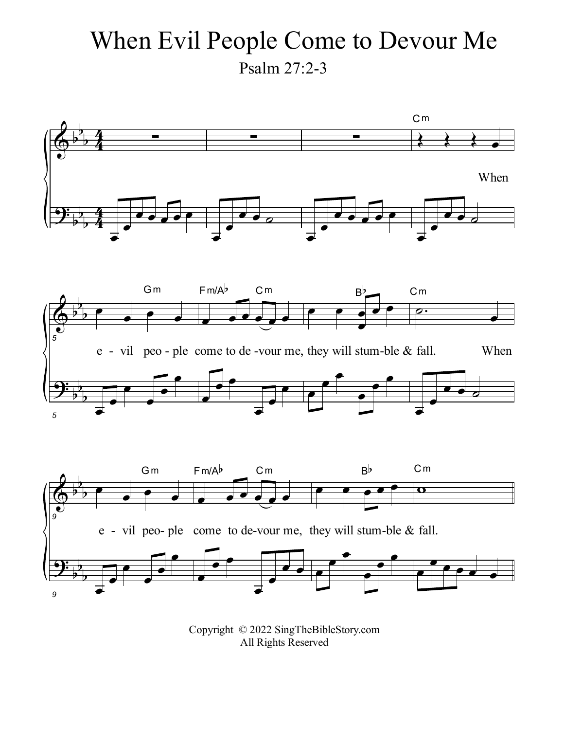## When Evil People Come to Devour Me Psalm 27:2-3



Copyright © 2022 SingTheBibleStory.com All Rights Reserved